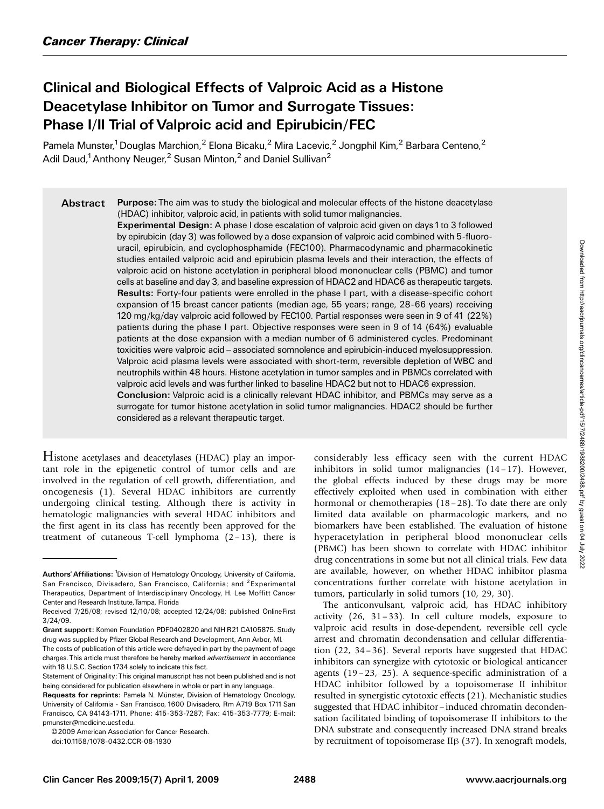# Clinical and Biological Effects of Valproic Acid as a Histone Deacetylase Inhibitor on Tumor and Surrogate Tissues: Phase I/II Trial of Valproic acid and Epirubicin/FEC

Pamela Munster,<sup>1</sup> Douglas Marchion,<sup>2</sup> Elona Bicaku,<sup>2</sup> Mira Lacevic,<sup>2</sup> Jongphil Kim,<sup>2</sup> Barbara Centeno,<sup>2</sup> Adil Daud,<sup>1</sup> Anthony Neuger,<sup>2</sup> Susan Minton,<sup>2</sup> and Daniel Sullivan<sup>2</sup>

Abstract Purpose: The aim was to study the biological and molecular effects of the histone deacetylase (HDAC) inhibitor, valproic acid, in patients with solid tumor malignancies.

> Experimental Design: A phase I dose escalation of valproic acid given on days 1 to 3 followed by epirubicin (day 3) was followed by a dose expansion of valproic acid combined with 5-fluorouracil, epirubicin, and cyclophosphamide (FEC100). Pharmacodynamic and pharmacokinetic studies entailed valproic acid and epirubicin plasma levels and their interaction, the effects of valproic acid on histone acetylation in peripheral blood mononuclear cells (PBMC) and tumor cells at baseline and day 3, and baseline expression of HDAC2 and HDAC6 as therapeutic targets. Results: Forty-four patients were enrolled in the phase I part, with a disease-specific cohort expansion of 15 breast cancer patients (median age, 55 years; range, 28-66 years) receiving 120 mg/kg/day valproic acid followed by FEC100. Partial responses were seen in 9 of 41 (22%) patients during the phase I part. Objective responses were seen in 9 of 14 (64%) evaluable patients at the dose expansion with a median number of 6 administered cycles. Predominant toxicities were valproic acid – associated somnolence and epirubicin-induced myelosuppression. Valproic acid plasma levels were associated with short-term, reversible depletion of WBC and neutrophils within 48 hours. Histone acetylation in tumor samples and in PBMCs correlated with valproic acid levels and was further linked to baseline HDAC2 but not to HDAC6 expression. **Conclusion:** Valproic acid is a clinically relevant HDAC inhibitor, and PBMCs may serve as a surrogate for tumor histone acetylation in solid tumor malignancies. HDAC2 should be further considered as a relevant therapeutic target.

Histone acetylases and deacetylases (HDAC) play an important role in the epigenetic control of tumor cells and are involved in the regulation of cell growth, differentiation, and oncogenesis (1). Several HDAC inhibitors are currently undergoing clinical testing. Although there is activity in hematologic malignancies with several HDAC inhibitors and the first agent in its class has recently been approved for the treatment of cutaneous T-cell lymphoma  $(2-13)$ , there is

©2009 American Association for Cancer Research

doi:10.1158/1078-0432.CCR-08-1930

considerably less efficacy seen with the current HDAC inhibitors in solid tumor malignancies (14 – 17). However, the global effects induced by these drugs may be more effectively exploited when used in combination with either hormonal or chemotherapies (18-28). To date there are only limited data available on pharmacologic markers, and no biomarkers have been established. The evaluation of histone hyperacetylation in peripheral blood mononuclear cells (PBMC) has been shown to correlate with HDAC inhibitor drug concentrations in some but not all clinical trials. Few data are available, however, on whether HDAC inhibitor plasma concentrations further correlate with histone acetylation in tumors, particularly in solid tumors (10, 29, 30).

The anticonvulsant, valproic acid, has HDAC inhibitory activity  $(26, 31-33)$ . In cell culture models, exposure to valproic acid results in dose-dependent, reversible cell cycle arrest and chromatin decondensation and cellular differentiation (22, 34– 36). Several reports have suggested that HDAC inhibitors can synergize with cytotoxic or biological anticancer agents (19 –23, 25). A sequence-specific administration of a HDAC inhibitor followed by a topoisomerase II inhibitor resulted in synergistic cytotoxic effects (21). Mechanistic studies suggested that HDAC inhibitor-induced chromatin decondensation facilitated binding of topoisomerase II inhibitors to the DNA substrate and consequently increased DNA strand breaks by recruitment of topoisomerase II $\beta$  (37). In xenograft models,

Authors' Affiliations: <sup>1</sup>Division of Hematology Oncology, University of California, San Francisco, Divisadero, San Francisco, California; and <sup>2</sup>Experimental Therapeutics, Department of Interdisciplinary Oncology, H. Lee Moffitt Cancer Center and Research Institute, Tampa, Florida

Received 7/25/08; revised 12/10/08; accepted 12/24/08; published OnlineFirst 3/24/09.

Grant support: Komen Foundation PDF0402820 and NIH R21CA105875. Study drug was supplied by Pfizer Global Research and Development, Ann Arbor, MI.

The costs of publication of this article were defrayed in part by the payment of page charges. This article must therefore be hereby marked advertisement in accordance with 18 U.S.C. Section 1734 solely to indicate this fact.

Statement of Originality: This original manuscript has not been published and is not being considered for publication elsewhere in whole or part in any language.

Requests for reprints: Pamela N. Münster, Division of Hematology Oncology, University of California - San Francisco, 1600 Divisadero, Rm A719 Box 1711 San Francisco, CA 94143-1711. Phone: 415-353-7287; Fax: 415-353-7779; E-mail: pmunster@medicine.ucsf.edu.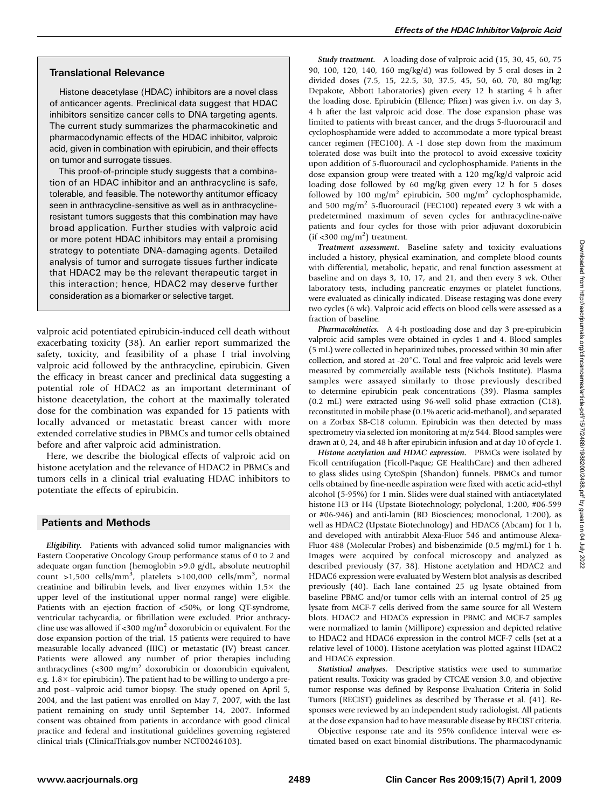## Translational Relevance

Histone deacetylase (HDAC) inhibitors are a novel class of anticancer agents. Preclinical data suggest that HDAC inhibitors sensitize cancer cells to DNA targeting agents. The current study summarizes the pharmacokinetic and pharmacodynamic effects of the HDAC inhibitor, valproic acid, given in combination with epirubicin, and their effects on tumor and surrogate tissues.

This proof-of-principle study suggests that a combination of an HDAC inhibitor and an anthracycline is safe, tolerable, and feasible. The noteworthy antitumor efficacy seen in anthracycline-sensitive as well as in anthracyclineresistant tumors suggests that this combination may have broadapplication. Further studies with valproic acid or more potent HDAC inhibitors may entail a promising strategy to potentiate DNA-damaging agents. Detailed analysis of tumor and surrogate tissues further indicate that HDAC2 may be the relevant therapeutic target in this interaction; hence, HDAC2 may deserve further consideration as a biomarker or selective target.

valproic acid potentiated epirubicin-induced cell death without exacerbating toxicity (38). An earlier report summarized the safety, toxicity, and feasibility of a phase I trial involving valproic acid followed by the anthracycline, epirubicin. Given the efficacy in breast cancer and preclinical data suggesting a potential role of HDAC2 as an important determinant of histone deacetylation, the cohort at the maximally tolerated dose for the combination was expanded for 15 patients with locally advanced or metastatic breast cancer with more extended correlative studies in PBMCs and tumor cells obtained before and after valproic acid administration.

Here, we describe the biological effects of valproic acid on histone acetylation and the relevance of HDAC2 in PBMCs and tumors cells in a clinical trial evaluating HDAC inhibitors to potentiate the effects of epirubicin.

## Patients and Methods

Eligibility. Patients with advanced solid tumor malignancies with Eastern Cooperative Oncology Group performance status of 0 to 2 and adequate organ function (hemoglobin >9.0 g/dL, absolute neutrophil count >1,500 cells/mm<sup>3</sup>, platelets >100,000 cells/mm<sup>3</sup>, normal creatinine and bilirubin levels, and liver enzymes within  $1.5\times$  the upper level of the institutional upper normal range) were eligible. Patients with an ejection fraction of <50%, or long QT-syndrome, ventricular tachycardia, or fibrillation were excluded. Prior anthracycline use was allowed if <300 mg/m<sup>2</sup> doxorubicin or equivalent. For the dose expansion portion of the trial, 15 patients were required to have measurable locally advanced (IIIC) or metastatic (IV) breast cancer. Patients were allowed any number of prior therapies including anthracyclines (<300 mg/m2 doxorubicin or doxorubicin equivalent, e.g.  $1.8 \times$  for epirubicin). The patient had to be willing to undergo a preand post – valproic acid tumor biopsy. The study opened on April 5, 2004, and the last patient was enrolled on May 7, 2007, with the last patient remaining on study until September 14, 2007. Informed consent was obtained from patients in accordance with good clinical practice and federal and institutional guidelines governing registered clinical trials (ClinicalTrials.gov number NCT00246103).

Study treatment. A loading dose of valproic acid (15, 30, 45, 60, 75 90, 100, 120, 140, 160 mg/kg/d) was followed by 5 oral doses in 2 divided doses (7.5, 15, 22.5, 30, 37.5, 45, 50, 60, 70, 80 mg/kg; Depakote, Abbott Laboratories) given every 12 h starting 4 h after the loading dose. Epirubicin (Ellence; Pfizer) was given i.v. on day 3, 4 h after the last valproic acid dose. The dose expansion phase was limited to patients with breast cancer, and the drugs 5-fluorouracil and cyclophosphamide were added to accommodate a more typical breast cancer regimen (FEC100). A -1 dose step down from the maximum tolerated dose was built into the protocol to avoid excessive toxicity upon addition of 5-fluorouracil and cyclophosphamide. Patients in the dose expansion group were treated with a 120 mg/kg/d valproic acid loading dose followed by 60 mg/kg given every 12 h for 5 doses followed by 100 mg/m<sup>2</sup> epirubicin, 500 mg/m<sup>2</sup> cyclophosphamide, and 500 mg/m<sup>2</sup> 5-fluorouracil (FEC100) repeated every 3 wk with a predetermined maximum of seven cycles for anthracycline-naïve patients and four cycles for those with prior adjuvant doxorubicin  $(if < 300$  mg/m<sup>2</sup>) treatment.

Treatment assessment. Baseline safety and toxicity evaluations included a history, physical examination, and complete blood counts with differential, metabolic, hepatic, and renal function assessment at baseline and on days 3, 10, 17, and 21, and then every 3 wk. Other laboratory tests, including pancreatic enzymes or platelet functions, were evaluated as clinically indicated. Disease restaging was done every two cycles (6 wk). Valproic acid effects on blood cells were assessed as a fraction of baseline.

Pharmacokinetics. A 4-h postloading dose and day 3 pre-epirubicin valproic acid samples were obtained in cycles 1 and 4. Blood samples (5 mL) were collected in heparinized tubes, processed within 30 min after collection, and stored at -20°C. Total and free valproic acid levels were measured by commercially available tests (Nichols Institute). Plasma samples were assayed similarly to those previously described to determine epirubicin peak concentrations (39). Plasma samples (0.2 mL) were extracted using 96-well solid phase extraction (C18), reconstituted in mobile phase (0.1% acetic acid-methanol), and separated on a Zorbax SB-C18 column. Epirubicin was then detected by mass spectrometry via selected ion monitoring at m/z 544. Blood samples were drawn at 0, 24, and 48 h after epirubicin infusion and at day 10 of cycle 1.

Histone acetylation and HDAC expression. PBMCs were isolated by Ficoll centrifugation (Ficoll-Paque; GE HealthCare) and then adhered to glass slides using CytoSpin (Shandon) funnels. PBMCs and tumor cells obtained by fine-needle aspiration were fixed with acetic acid-ethyl alcohol (5-95%) for 1 min. Slides were dual stained with antiacetylated histone H3 or H4 (Upstate Biotechnology; polyclonal, 1:200, #06-599 or #06-946) and anti-lamin (BD Biosciences; monoclonal, 1:200), as well as HDAC2 (Upstate Biotechnology) and HDAC6 (Abcam) for 1 h, and developed with antirabbit Alexa-Fluor 546 and antimouse Alexa-Fluor 488 (Molecular Probes) and bisbenzimide (0.5 mg/mL) for 1 h. Images were acquired by confocal microscopy and analyzed as described previously (37, 38). Histone acetylation and HDAC2 and HDAC6 expression were evaluated by Western blot analysis as described previously  $(40)$ . Each lane contained 25  $\mu$ g lysate obtained from baseline PBMC and/or tumor cells with an internal control of  $25 \mu g$ lysate from MCF-7 cells derived from the same source for all Western blots. HDAC2 and HDAC6 expression in PBMC and MCF-7 samples were normalized to lamin (Millipore) expression and depicted relative to HDAC2 and HDAC6 expression in the control MCF-7 cells (set at a relative level of 1000). Histone acetylation was plotted against HDAC2 and HDAC6 expression.

Statistical analyses. Descriptive statistics were used to summarize patient results. Toxicity was graded by CTCAE version 3.0, and objective tumor response was defined by Response Evaluation Criteria in Solid Tumors (RECIST) guidelines as described by Therasse et al. (41). Responses were reviewed by an independent study radiologist. All patients at the dose expansion had to have measurable disease by RECIST criteria.

Objective response rate and its 95% confidence interval were estimated based on exact binomial distributions. The pharmacodynamic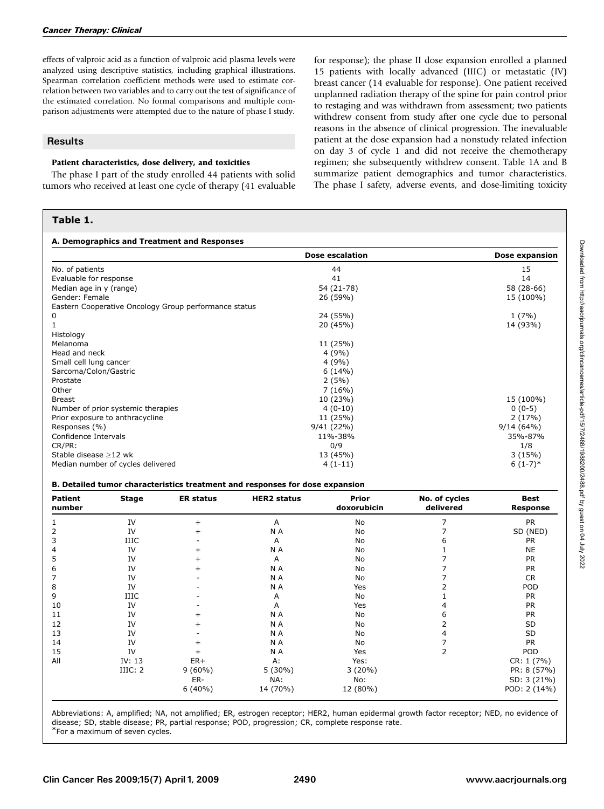effects of valproic acid as a function of valproic acid plasma levels were analyzed using descriptive statistics, including graphical illustrations. Spearman correlation coefficient methods were used to estimate correlation between two variables and to carry out the test of significance of the estimated correlation. No formal comparisons and multiple comparison adjustments were attempted due to the nature of phase I study.

## **Results**

### Patient characteristics, dose delivery, and toxicities

The phase I part of the study enrolled 44 patients with solid tumors who received at least one cycle of therapy (41 evaluable

## Table 1.

for response); the phase II dose expansion enrolled a planned 15 patients with locally advanced (IIIC) or metastatic (IV) breast cancer (14 evaluable for response). One patient received unplanned radiation therapy of the spine for pain control prior to restaging and was withdrawn from assessment; two patients withdrew consent from study after one cycle due to personal reasons in the absence of clinical progression. The inevaluable patient at the dose expansion had a nonstudy related infection on day 3 of cycle 1 and did not receive the chemotherapy regimen; she subsequently withdrew consent. Table 1A and B summarize patient demographics and tumor characteristics. The phase I safety, adverse events, and dose-limiting toxicity

| A. Demographics and Treatment and Responses           | <b>Dose escalation</b> | Dose expansion |
|-------------------------------------------------------|------------------------|----------------|
| No. of patients                                       | 44                     | 15             |
| Evaluable for response                                | 41                     | 14             |
| Median age in y (range)                               | 54 (21-78)             | 58 (28-66)     |
| Gender: Female                                        | 26 (59%)               | 15 (100%)      |
| Eastern Cooperative Oncology Group performance status |                        |                |
| 0                                                     | 24 (55%)               | 1(7%)          |
|                                                       | 20 (45%)               | 14 (93%)       |
| Histology                                             |                        |                |
| Melanoma                                              | 11 (25%)               |                |
| Head and neck                                         | 4(9%)                  |                |
| Small cell lung cancer                                | 4(9%)                  |                |
| Sarcoma/Colon/Gastric                                 | 6(14%)                 |                |
| Prostate                                              | 2(5%)                  |                |
| Other                                                 | 7(16%)                 |                |
| <b>Breast</b>                                         | 10 (23%)               | 15 (100%)      |
| Number of prior systemic therapies                    | $4(0-10)$              | $0(0-5)$       |
| Prior exposure to anthracycline                       | 11 (25%)               | 2(17%)         |
| Responses (%)                                         | 9/41(22%)              | 9/14(64%)      |
| Confidence Intervals                                  | 11%-38%                | 35%-87%        |
| CR/PR:                                                | 0/9                    | 1/8            |
| Stable disease $\geq$ 12 wk                           | 13 (45%)               | 3(15%)         |
| Median number of cycles delivered                     | $4(1-11)$              | $6(1-7)*$      |

#### B. Detailed tumor characteristics treatment and responses for dose expansion

| <b>Patient</b><br>number | <b>Stage</b> | <b>ER status</b> | <b>HER2</b> status | <b>Prior</b><br>doxorubicin | No. of cycles<br>delivered | <b>Best</b><br><b>Response</b> |
|--------------------------|--------------|------------------|--------------------|-----------------------------|----------------------------|--------------------------------|
|                          | IV           |                  | A                  | No                          |                            | <b>PR</b>                      |
| 2                        | IV           |                  | N A                | No                          |                            | SD (NED)                       |
| 3                        | <b>IIIC</b>  |                  | A                  | No                          |                            | <b>PR</b>                      |
| 4                        | IV           |                  | N A                | No                          |                            | <b>NE</b>                      |
| 5                        | IV           |                  | A                  | No                          |                            | <b>PR</b>                      |
| 6                        | IV           |                  | N A                | No                          |                            | <b>PR</b>                      |
|                          | IV           |                  | N A                | No                          |                            | <b>CR</b>                      |
| 8                        | IV           |                  | N A                | Yes                         |                            | POD                            |
| 9                        | <b>IIIC</b>  |                  | A                  | No                          |                            | <b>PR</b>                      |
| 10                       | IV           |                  | A                  | Yes                         |                            | <b>PR</b>                      |
| 11                       | IV           |                  | N A                | No                          | h                          | <b>PR</b>                      |
| 12                       | IV           |                  | N A                | No                          |                            | SD                             |
| 13                       | IV           |                  | N A                | No                          |                            | SD                             |
| 14                       | IV           |                  | N A                | No                          |                            | <b>PR</b>                      |
| 15                       | IV           |                  | N A                | Yes                         |                            | POD                            |
| All                      | IV: $13$     | $ER+$            | A:                 | Yes:                        |                            | CR: 1 (7%)                     |
|                          | IIIC: 2      | $9(60\%)$        | $5(30\%)$          | 3(20%)                      |                            | PR: 8 (57%)                    |
|                          |              | ER-              | NA:                | No:                         |                            | SD: 3 (21%)                    |
|                          |              | $6(40\%)$        | 14 (70%)           | 12 (80%)                    |                            | POD: 2 (14%)                   |

Abbreviations: A, amplified; NA, not amplified; ER, estrogen receptor; HER2, human epidermal growth factor receptor; NED, no evidence of disease; SD, stable disease; PR, partial response; POD, progression; CR, complete response rate.

\*For a maximum of seven cycles.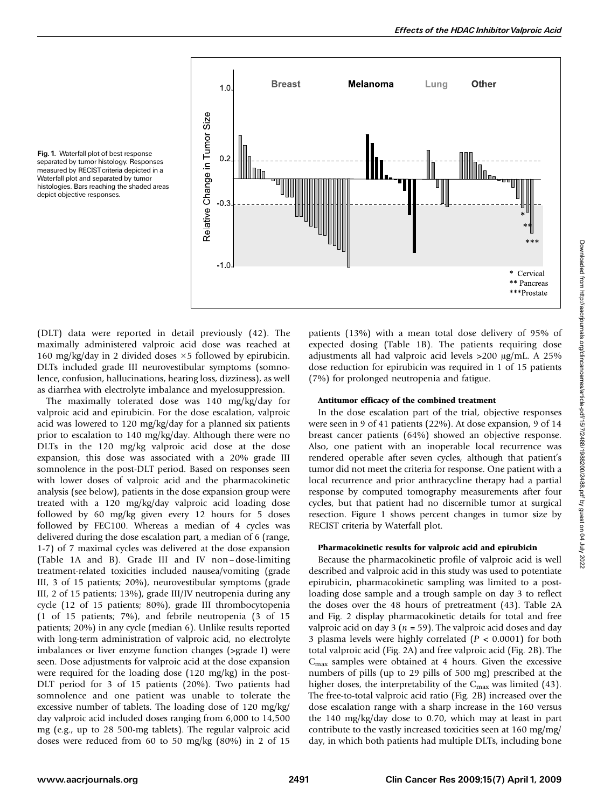

Fig. 1. Waterfall plot of best response separated by tumor histology. Responses measured by RECIST criteria depicted in a Waterfall plot and separated by tumor histologies. Bars reaching the shaded areas depict objective responses.

(DLT) data were reported in detail previously (42). The maximally administered valproic acid dose was reached at 160 mg/kg/day in 2 divided doses  $\times$  5 followed by epirubicin. DLTs included grade III neurovestibular symptoms (somnolence, confusion, hallucinations, hearing loss, dizziness), as well as diarrhea with electrolyte imbalance and myelosuppression.

The maximally tolerated dose was 140 mg/kg/day for valproic acid and epirubicin. For the dose escalation, valproic acid was lowered to 120 mg/kg/day for a planned six patients prior to escalation to 140 mg/kg/day. Although there were no DLTs in the 120 mg/kg valproic acid dose at the dose expansion, this dose was associated with a 20% grade III somnolence in the post-DLT period. Based on responses seen with lower doses of valproic acid and the pharmacokinetic analysis (see below), patients in the dose expansion group were treated with a 120 mg/kg/day valproic acid loading dose followed by 60 mg/kg given every 12 hours for 5 doses followed by FEC100. Whereas a median of 4 cycles was delivered during the dose escalation part, a median of 6 (range, 1-7) of 7 maximal cycles was delivered at the dose expansion (Table 1A and B). Grade III and IV non–dose-limiting treatment-related toxicities included nausea/vomiting (grade III, 3 of 15 patients; 20%), neurovestibular symptoms (grade III, 2 of 15 patients; 13%), grade III/IV neutropenia during any cycle (12 of 15 patients; 80%), grade III thrombocytopenia (1 of 15 patients; 7%), and febrile neutropenia (3 of 15 patients; 20%) in any cycle (median 6). Unlike results reported with long-term administration of valproic acid, no electrolyte imbalances or liver enzyme function changes (>grade I) were seen. Dose adjustments for valproic acid at the dose expansion were required for the loading dose (120 mg/kg) in the post-DLT period for 3 of 15 patients (20%). Two patients had somnolence and one patient was unable to tolerate the excessive number of tablets. The loading dose of 120 mg/kg/ day valproic acid included doses ranging from 6,000 to 14,500 mg (e.g., up to 28 500-mg tablets). The regular valproic acid doses were reduced from 60 to 50 mg/kg (80%) in 2 of 15 patients (13%) with a mean total dose delivery of 95% of expected dosing (Table 1B). The patients requiring dose adjustments all had valproic acid levels  $>200 \text{ µg/mL}$ . A 25% dose reduction for epirubicin was required in 1 of 15 patients (7%) for prolonged neutropenia and fatigue.

#### Antitumor efficacy of the combined treatment

In the dose escalation part of the trial, objective responses were seen in 9 of 41 patients (22%). At dose expansion, 9 of 14 breast cancer patients (64%) showed an objective response. Also, one patient with an inoperable local recurrence was rendered operable after seven cycles, although that patient's tumor did not meet the criteria for response. One patient with a local recurrence and prior anthracycline therapy had a partial response by computed tomography measurements after four cycles, but that patient had no discernible tumor at surgical resection. Figure 1 shows percent changes in tumor size by RECIST criteria by Waterfall plot.

#### Pharmacokinetic results for valproic acid and epirubicin

Because the pharmacokinetic profile of valproic acid is well described and valproic acid in this study was used to potentiate epirubicin, pharmacokinetic sampling was limited to a postloading dose sample and a trough sample on day 3 to reflect the doses over the 48 hours of pretreatment (43). Table 2A and Fig. 2 display pharmacokinetic details for total and free valproic acid on day 3 ( $n = 59$ ). The valproic acid doses and day 3 plasma levels were highly correlated  $(P < 0.0001)$  for both total valproic acid (Fig. 2A) and free valproic acid (Fig. 2B). The  $C_{\text{max}}$  samples were obtained at 4 hours. Given the excessive numbers of pills (up to 29 pills of 500 mg) prescribed at the higher doses, the interpretability of the  $C_{\text{max}}$  was limited (43). The free-to-total valproic acid ratio (Fig. 2B) increased over the dose escalation range with a sharp increase in the 160 versus the 140 mg/kg/day dose to 0.70, which may at least in part contribute to the vastly increased toxicities seen at 160 mg/mg/ day, in which both patients had multiple DLTs, including bone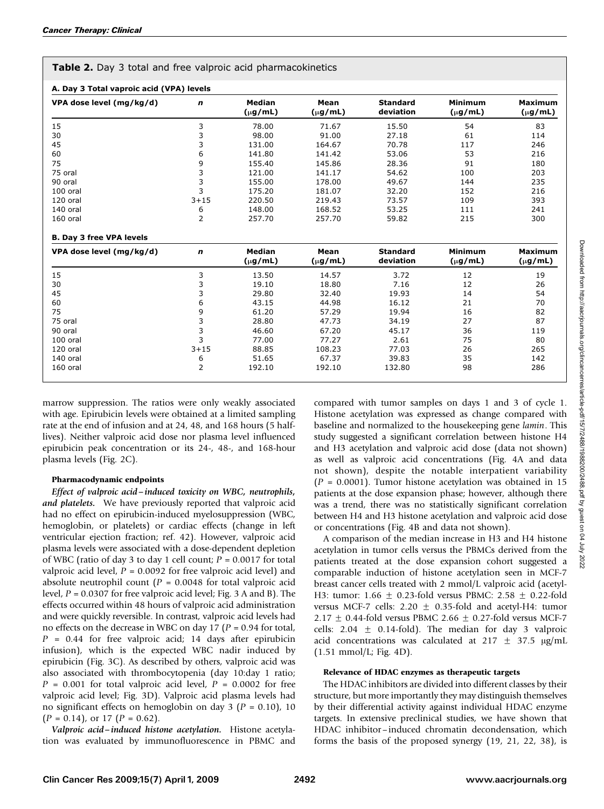| Table 2. Day 3 total and free valproic acid pharmacokinetics |  |
|--------------------------------------------------------------|--|
|--------------------------------------------------------------|--|

| VPA dose level (mg/kg/d)        | n              | Median<br>$(\mu g/mL)$        | Mean<br>$(\mu g/mL)$ | <b>Standard</b><br>deviation | <b>Minimum</b><br>$(\mu g/mL)$ | <b>Maximum</b><br>$(\mu g/mL)$ |
|---------------------------------|----------------|-------------------------------|----------------------|------------------------------|--------------------------------|--------------------------------|
| 15                              | 3              | 78.00                         | 71.67                | 15.50                        | 54                             | 83                             |
| 30                              | 3              | 98.00                         | 91.00                | 27.18                        | 61                             | 114                            |
| 45                              | 3              | 131.00                        | 164.67               | 70.78                        | 117                            | 246                            |
| 60                              | 6              | 141.80                        | 141.42               | 53.06                        | 53                             | 216                            |
| 75                              | 9              | 155.40                        | 145.86               | 28.36                        | 91                             | 180                            |
| 75 oral                         | 3              | 121.00                        | 141.17               | 54.62                        | 100                            | 203                            |
| 90 oral                         | 3              | 155.00                        | 178.00               | 49.67                        | 144                            | 235                            |
| 100 oral                        | 3              | 175.20                        | 181.07               | 32.20                        | 152                            | 216                            |
| 120 oral                        | $3 + 15$       | 220.50                        | 219.43               | 73.57                        | 109                            | 393                            |
| 140 oral                        | 6              | 148.00                        | 168.52               | 53.25                        | 111                            | 241                            |
| 160 oral                        | $\overline{2}$ | 257.70                        | 257.70               | 59.82                        | 215                            | 300                            |
| <b>B. Day 3 free VPA levels</b> |                |                               |                      |                              |                                |                                |
| VPA dose level (mg/kg/d)        | $\mathbf n$    | <b>Median</b><br>$(\mu g/mL)$ | Mean<br>$(\mu g/mL)$ | <b>Standard</b><br>deviation | <b>Minimum</b><br>$(\mu g/mL)$ | <b>Maximum</b><br>$(\mu g/mL)$ |
| 15                              | 3              | 13.50                         | 14.57                | 3.72                         | 12                             | 19                             |
| 30                              | 3              | 19.10                         | 18.80                | 7.16                         | 12                             | 26                             |
| 45                              | 3              | 29.80                         | 32.40                | 19.93                        | 14                             | 54                             |
| 60                              | 6              | 43.15                         | 44.98                | 16.12                        | 21                             | 70                             |
| 75                              | 9              | 61.20                         | 57.29                | 19.94                        | 16                             | 82                             |
| 75 oral                         | 3              | 28.80                         | 47.73                | 34.19                        | 27                             | 87                             |
| 90 oral                         | 3              | 46.60                         | 67.20                | 45.17                        | 36                             | 119                            |
| 100 oral                        | 3              | 77.00                         | 77.27                | 2.61                         | 75                             | 80                             |
| 120 oral                        | $3 + 15$       | 88.85                         | 108.23               | 77.03                        | 26                             | 265                            |
| 140 oral                        | 6              | 51.65                         | 67.37                | 39.83                        | 35                             | 142                            |
|                                 |                |                               |                      |                              |                                |                                |

marrow suppression. The ratios were only weakly associated with age. Epirubicin levels were obtained at a limited sampling rate at the end of infusion and at 24, 48, and 168 hours (5 halflives). Neither valproic acid dose nor plasma level influenced epirubicin peak concentration or its 24-, 48-, and 168-hour plasma levels (Fig. 2C).

#### Pharmacodynamic endpoints

Effect of valproic acid –induced toxicity on WBC, neutrophils, and platelets. We have previously reported that valproic acid had no effect on epirubicin-induced myelosuppression (WBC, hemoglobin, or platelets) or cardiac effects (change in left ventricular ejection fraction; ref. 42). However, valproic acid plasma levels were associated with a dose-dependent depletion of WBC (ratio of day 3 to day 1 cell count;  $P = 0.0017$  for total valproic acid level,  $P = 0.0092$  for free valproic acid level) and absolute neutrophil count ( $P = 0.0048$  for total valproic acid level,  $P = 0.0307$  for free valproic acid level; Fig. 3 A and B). The effects occurred within 48 hours of valproic acid administration and were quickly reversible. In contrast, valproic acid levels had no effects on the decrease in WBC on day 17 ( $P = 0.94$  for total,  $P = 0.44$  for free valproic acid; 14 days after epirubicin infusion), which is the expected WBC nadir induced by epirubicin (Fig. 3C). As described by others, valproic acid was also associated with thrombocytopenia (day 10:day 1 ratio;  $P = 0.001$  for total valproic acid level,  $P = 0.0002$  for free valproic acid level; Fig. 3D). Valproic acid plasma levels had no significant effects on hemoglobin on day 3 ( $P = 0.10$ ), 10  $(P = 0.14)$ , or 17  $(P = 0.62)$ .

Valproic acid –induced histone acetylation. Histone acetylation was evaluated by immunofluorescence in PBMC and compared with tumor samples on days 1 and 3 of cycle 1. Histone acetylation was expressed as change compared with baseline and normalized to the housekeeping gene lamin. This study suggested a significant correlation between histone H4 and H3 acetylation and valproic acid dose (data not shown) as well as valproic acid concentrations (Fig. 4A and data not shown), despite the notable interpatient variability  $(P = 0.0001)$ . Tumor histone acetylation was obtained in 15 patients at the dose expansion phase; however, although there was a trend, there was no statistically significant correlation between H4 and H3 histone acetylation and valproic acid dose or concentrations (Fig. 4B and data not shown).

A comparison of the median increase in H3 and H4 histone acetylation in tumor cells versus the PBMCs derived from the patients treated at the dose expansion cohort suggested a comparable induction of histone acetylation seen in MCF-7 breast cancer cells treated with 2 mmol/L valproic acid (acetyl-H3: tumor: 1.66  $\pm$  0.23-fold versus PBMC: 2.58  $\pm$  0.22-fold versus MCF-7 cells:  $2.20 \pm 0.35$ -fold and acetyl-H4: tumor 2.17  $\pm$  0.44-fold versus PBMC 2.66  $\pm$  0.27-fold versus MCF-7 cells:  $2.04 \pm 0.14$ -fold). The median for day 3 valproic acid concentrations was calculated at 217  $\pm$  37.5  $\mu$ g/mL (1.51 mmol/L; Fig. 4D).

#### Relevance of HDAC enzymes as therapeutic targets

The HDAC inhibitors are divided into different classes by their structure, but more importantly they may distinguish themselves by their differential activity against individual HDAC enzyme targets. In extensive preclinical studies, we have shown that HDAC inhibitor-induced chromatin decondensation, which forms the basis of the proposed synergy (19, 21, 22, 38), is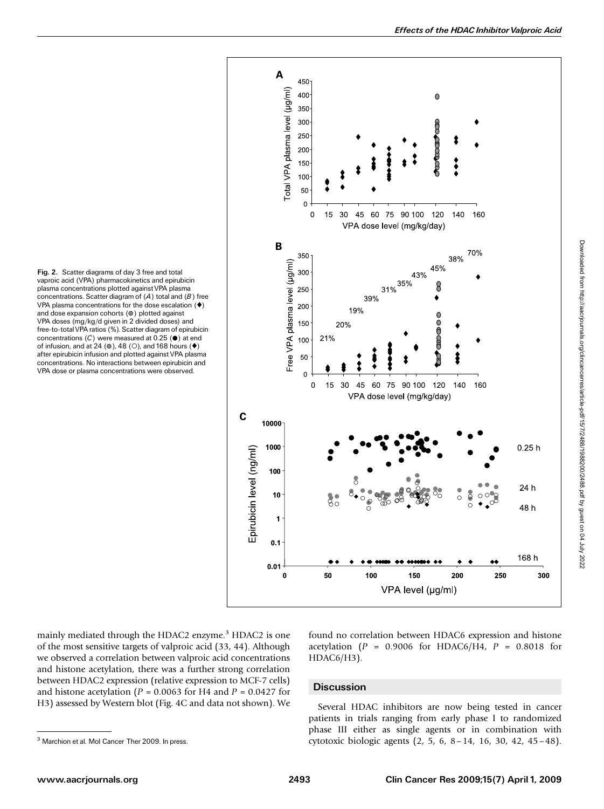plasma concentrations plotted against VPA plasma concentrations. Scatter diagram of  $(A)$  total and  $(B)$  free VPA plasma concentrations for the dose escalation  $($   $\blacklozenge)$ and dose expansion cohorts  $(①)$  plotted against VPA doses (mg/kg/d given in 2 divided doses) and free-to-totalVPA ratios (%). Scatter diagram of epirubicin concentrations  $(C)$  were measured at 0.25 ( $\bullet$ ) at end of infusion, and at 24 ( $\circ$ ), 48 ( $\circ$ ), and 168 hours ( $\bullet$ ) after epirubicin infusion and plotted against VPA plasma concentrations. No interactions between epirubicin and VPA dose or plasma concentrations were observed.

Fig. 2. Scatter diagrams of day 3 free and total vaproic acid (VPA) pharmacokinetics and epirubicin



mainly mediated through the HDAC2 enzyme.<sup>3</sup> HDAC2 is one of the most sensitive targets of valproic acid (33, 44). Although we observed a correlation between valproic acid concentrations and histone acetylation, there was a further strong correlation between HDAC2 expression (relative expression to MCF-7 cells) and histone acetylation ( $P = 0.0063$  for H4 and  $P = 0.0427$  for H3) assessed by Western blot (Fig. 4C and data not shown). We

found no correlation between HDAC6 expression and histone acetylation ( $P = 0.9006$  for HDAC6/H4,  $P = 0.8018$  for HDAC6/H3).

#### **Discussion**

Several HDAC inhibitors are now being tested in cancer patients in trials ranging from early phase I to randomized phase III either as single agents or in combination with <sup>3</sup> Marchion et al. Mol Cancer Ther 2009. In press. **3 Cytotoxic biologic agents** (2, 5, 6, 8 – 14, 16, 30, 42, 45 – 48).

Downloaded from http://aacrjournals.org/clincancerres/article-pdf/15/7/2488/1988200/2488.pdf by guest on 04 July 2022

Downloaded from http://aacrjournals.org/clincances/atticle-pdf/15/7/2488/1988200/2488.pdf by guest on 04 July 2022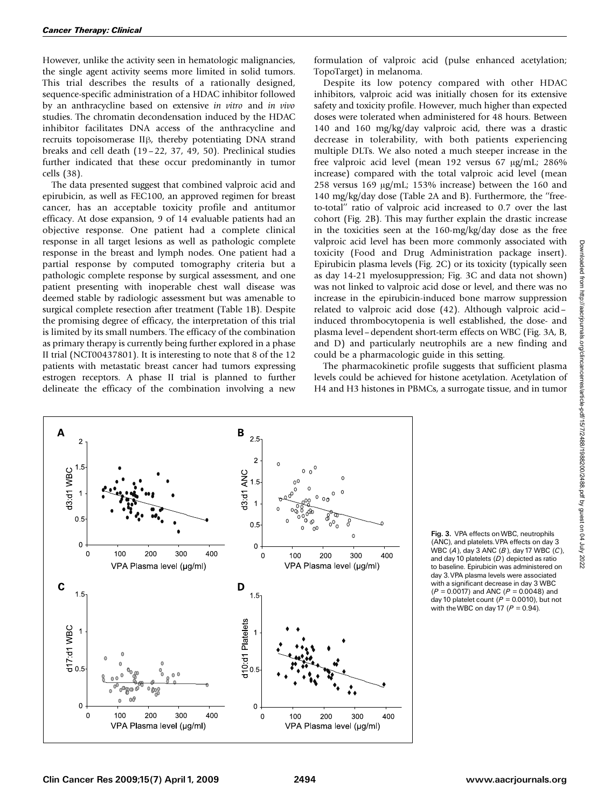However, unlike the activity seen in hematologic malignancies, the single agent activity seems more limited in solid tumors. This trial describes the results of a rationally designed, sequence-specific administration of a HDAC inhibitor followed by an anthracycline based on extensive in vitro and in vivo studies. The chromatin decondensation induced by the HDAC inhibitor facilitates DNA access of the anthracycline and recruits topoisomerase II<sub>B</sub>, thereby potentiating DNA strand breaks and cell death (19 – 22, 37, 49, 50). Preclinical studies further indicated that these occur predominantly in tumor cells (38).

The data presented suggest that combined valproic acid and epirubicin, as well as FEC100, an approved regimen for breast cancer, has an acceptable toxicity profile and antitumor efficacy. At dose expansion, 9 of 14 evaluable patients had an objective response. One patient had a complete clinical response in all target lesions as well as pathologic complete response in the breast and lymph nodes. One patient had a partial response by computed tomography criteria but a pathologic complete response by surgical assessment, and one patient presenting with inoperable chest wall disease was deemed stable by radiologic assessment but was amenable to surgical complete resection after treatment (Table 1B). Despite the promising degree of efficacy, the interpretation of this trial is limited by its small numbers. The efficacy of the combination as primary therapy is currently being further explored in a phase II trial (NCT00437801). It is interesting to note that 8 of the 12 patients with metastatic breast cancer had tumors expressing estrogen receptors. A phase II trial is planned to further delineate the efficacy of the combination involving a new

formulation of valproic acid (pulse enhanced acetylation; TopoTarget) in melanoma.

Despite its low potency compared with other HDAC inhibitors, valproic acid was initially chosen for its extensive safety and toxicity profile. However, much higher than expected doses were tolerated when administered for 48 hours. Between 140 and 160 mg/kg/day valproic acid, there was a drastic decrease in tolerability, with both patients experiencing multiple DLTs. We also noted a much steeper increase in the free valproic acid level (mean 192 versus 67 µg/mL; 286% increase) compared with the total valproic acid level (mean 258 versus 169  $\mu$ g/mL; 153% increase) between the 160 and 140 mg/kg/day dose (Table 2A and B). Furthermore, the ''freeto-total'' ratio of valproic acid increased to 0.7 over the last cohort (Fig. 2B). This may further explain the drastic increase in the toxicities seen at the 160-mg/kg/day dose as the free valproic acid level has been more commonly associated with toxicity (Food and Drug Administration package insert). Epirubicin plasma levels (Fig. 2C) or its toxicity (typically seen as day 14-21 myelosuppression; Fig. 3C and data not shown) was not linked to valproic acid dose or level, and there was no increase in the epirubicin-induced bone marrow suppression related to valproic acid dose (42). Although valproic acid– induced thrombocytopenia is well established, the dose- and plasma level–dependent short-term effects on WBC (Fig. 3A, B, and D) and particularly neutrophils are a new finding and could be a pharmacologic guide in this setting.

The pharmacokinetic profile suggests that sufficient plasma levels could be achieved for histone acetylation. Acetylation of H4 and H3 histones in PBMCs, a surrogate tissue, and in tumor



Fig. 3. VPA effects onWBC, neutrophils (ANC), and platelets. VPA effects on day 3 WBC  $(A)$ , day 3 ANC  $(B)$ , day 17 WBC  $(C)$ , and day 10 platelets  $(D)$  depicted as ratio to baseline. Epirubicin was administered on day 3.VPA plasma levels were associated with a significant decrease in day 3 WBC  $(P = 0.0017)$  and ANC  $(P = 0.0048)$  and day 10 platelet count ( $\vec{P} = 0.0010$ ), but not with the WBC on day 17 ( $P = 0.94$ ).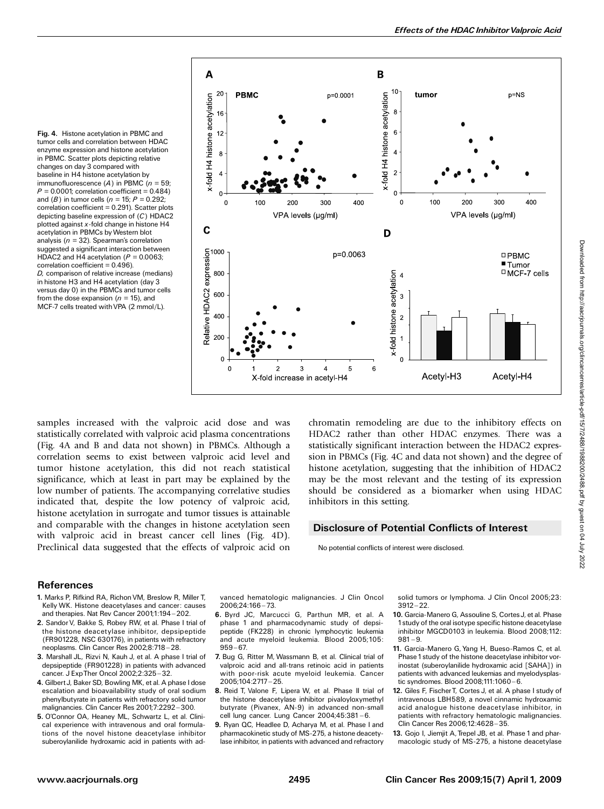Fig. 4. Histone acetylation in PBMC and tumor cells and correlation between HDAC enzyme expression and histone acetylation in PBMC. Scatter plots depicting relative changes on day 3 compared with baseline in H4 histone acetylation by immunofluorescence (A) in PBMC ( $n = 59$ ;  $P = 0.0001$ ; correlation coefficient = 0.484) and (B) in tumor cells ( $n = 15$ ;  $P = 0.292$ ;  $correlation coefficient = 0.291$ ). Scatter plots depicting baseline expression of (C) HDAC2 plotted against  $x$ -fold change in histone H4 acetylation in PBMCs byWestern blot analysis ( $n = 32$ ). Spearman's correlation suggested a significant interaction between HDAC2 and H4 acetylation ( $P = 0.0063$ ; correlation coefficient = 0.496). D, comparison of relative increase (medians) in histone H3 and H4 acetylation (day 3 versus day 0) in the PBMCs and tumor cells from the dose expansion ( $n = 15$ ), and MCF-7 cells treated with VPA (2 mmol/L).



samples increased with the valproic acid dose and was statistically correlated with valproic acid plasma concentrations (Fig. 4A and B and data not shown) in PBMCs. Although a correlation seems to exist between valproic acid level and tumor histone acetylation, this did not reach statistical significance, which at least in part may be explained by the low number of patients. The accompanying correlative studies indicated that, despite the low potency of valproic acid, histone acetylation in surrogate and tumor tissues is attainable and comparable with the changes in histone acetylation seen with valproic acid in breast cancer cell lines (Fig. 4D). Preclinical data suggested that the effects of valproic acid on chromatin remodeling are due to the inhibitory effects on HDAC2 rather than other HDAC enzymes. There was a statistically significant interaction between the HDAC2 expression in PBMCs (Fig. 4C and data not shown) and the degree of histone acetylation, suggesting that the inhibition of HDAC2 may be the most relevant and the testing of its expression should be considered as a biomarker when using HDAC inhibitors in this setting.

## Disclosure of Potential Conflicts of Interest

No potential conflicts of interest were disclosed.

#### References

- 1. Marks P, Rifkind RA, Richon VM, Breslow R, Miller T, Kelly WK. Histone deacetylases and cancer: causes and therapies. Nat Rev Cancer 2001;1:194-202.
- 2. Sandor V, Bakke S, Robey RW, et al. Phase I trial of the histone deacetylase inhibitor, depsipeptide (FR901228, NSC 630176), in patients with refractory neoplasms. Clin Cancer Res 2002;8:718-28.
- 3. Marshall JL, Rizvi N, Kauh J, et al. A phase I trial of depsipeptide (FR901228) in patients with advanced cancer. J ExpTher Oncol 2002;2:325 ^ 32.
- 4. GilbertJ, Baker SD, Bowling MK, et al. A phase I dose escalation and bioavailability study of oral sodium phenylbutyrate in patients with refractory solid tumor malignancies. Clin Cancer Res 2001;7:2292-300.
- 5. O'Connor OA, Heaney ML, Schwartz L, et al. Clinical experience with intravenous and oral formulations of the novel histone deacetylase inhibitor suberoylanilide hydroxamic acid in patients with ad-

vanced hematologic malignancies. J Clin Oncol 2006;24:166 ^ 73.

- 6. Byrd JC, Marcucci G, Parthun MR, et al. A phase 1 and pharmacodynamic study of depsipeptide (FK228) in chronic lymphocytic leukemia and acute myeloid leukemia. Blood 2005;105:  $959 - 67.$
- 7. Bug G, Ritter M, Wassmann B, et al. Clinical trial of valproic acid and all-trans retinoic acid in patients with poor-risk acute myeloid leukemia. Cancer 2005;104:2717 ^ 25.
- 8. Reid T, Valone F, Lipera W, et al. Phase II trial of the histone deacetylase inhibitor pivaloyloxymethyl butyrate (Pivanex, AN-9) in advanced non-small cell lung cancer. Lung Cancer 2004;45:381-6.
- 9. Ryan QC, Headlee D, Acharya M, et al. Phase I and pharmacokinetic study of MS-275, a histone deacetylase inhibitor, in patients with advanced and refractory

solid tumors or lymphoma. J Clin Oncol 2005;23:  $3912 - 22.$ 

- 10. Garcia-Manero G, Assouline S, CortesJ, et al. Phase 1study of the oral isotype specific histone deacetylase inhibitor MGCD0103 in leukemia. Blood 2008;112:  $981 - 9.$
- 11. Garcia-Manero G, Yang H, Bueso-Ramos C, et al. Phase 1study of the histone deacetylase inhibitor vorinostat (suberoylanilide hydroxamic acid [SAHA]) in patients with advanced leukemias and myelodysplastic syndromes. Blood 2008;111:1060-6.
- 12. Giles F, FischerT, Cortes J, et al. A phase I study of intravenous LBH589, a novel cinnamic hydroxamic acidanalogue histone deacetylase inhibitor, in patients with refractory hematologic malignancies. Clin Cancer Res 2006;12:4628-35.
- 13. Gojo I, Jiemjit A, Trepel JB, et al. Phase 1 and pharmacologic study of MS-275, a histone deacetylase